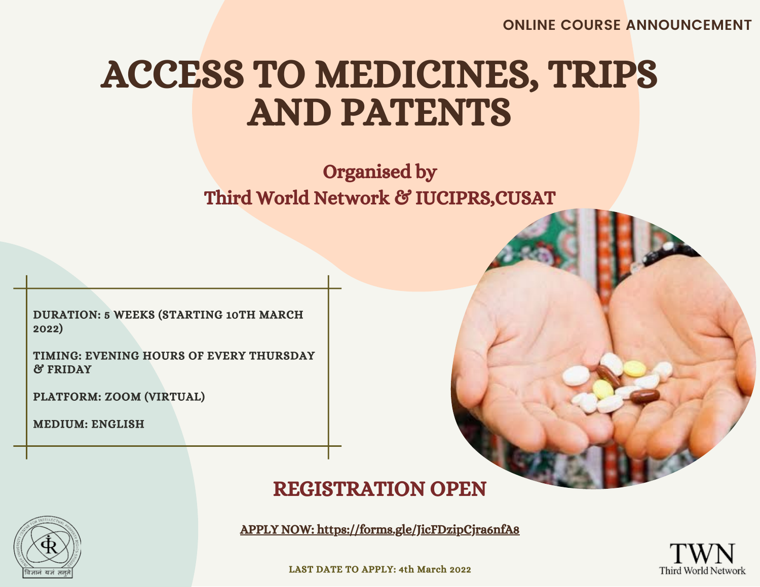**ONLINE COURSE ANNOUNCEMENT**

# ACCESS TO MEDICINES, TRIPS AND PATENTS

# Organised by Third World Network & IUCIPRS, CUSAT

DURATION: 5 WEEKS (STARTING 10TH MARCH 2022)

TIMING: EVENING HOURS OF EVERY THURSDAY & FRIDAY

PLATFORM: ZOOM (VIRTUAL)

MEDIUM: ENGLISH

## [REGISTRATION](https://forms.gle/JicFDzipCjra6nfA8) OPEN



APPLY NOW: <https://forms.gle/JicFDzipCjra6nfA8>



LAST DATE TO [APPLY:](https://forms.gle/JicFDzipCjra6nfA8) 4th March 2022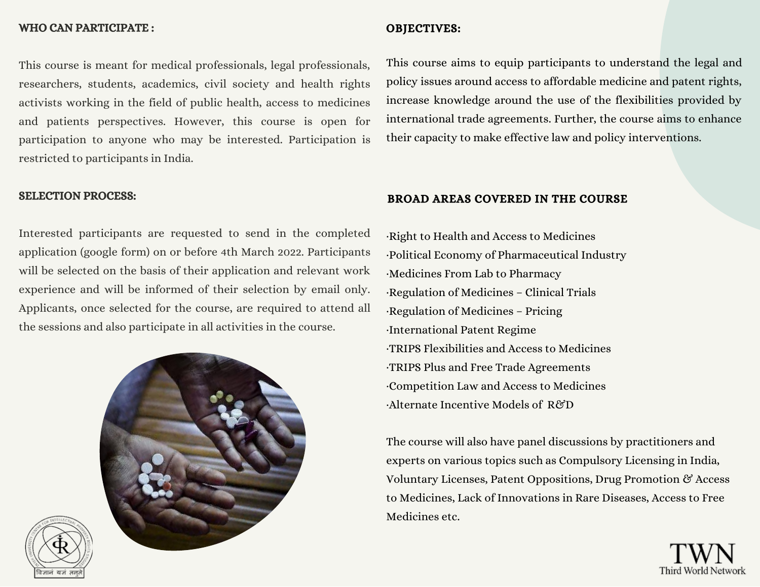### WHO CAN PARTICIPATE :

## This course is meant for medical professionals, legal professionals, researchers, students, academics, civil society and health rights activists working in the field of public health, access to medicines and patients perspectives. However, this course is open for participation to anyone who may be interested. Participation is restricted to participants in India.

### SELECTION PROCESS:

Interested participants are requested to send in the completed application (google form) on or before 4th March 2022. Participants will be selected on the basis of their application and relevant work experience and will be informed of their selection by email only. Applicants, once selected for the course, are required to attend all the sessions and also participate in all activities in the course.





## OBJECTIVES:

This course aims to equip participants to understand the legal and policy issues around access to affordable medicine and patent rights, increase knowledge around the use of the flexibilities provided by international trade agreements. Further, the course aims to enhance their capacity to make effective law and policy interventions.

## BROAD AREAS COVERED IN THE COURSE

·Right to Health and Access to Medicines ·Political Economy of Pharmaceutical Industry ·Medicines From Lab to Pharmacy ·Regulation of Medicines – Clinical Trials ·Regulation of Medicines – Pricing ·International Patent Regime ·TRIPS Flexibilities and Access to Medicines ·TRIPS Plus and Free Trade Agreements ·Competition Law and Access to Medicines ·Alternate Incentive Models of R&D

The course will also have panel discussions by practitioners and experts on various topics such as Compulsory Licensing in India, Voluntary Licenses, Patent Oppositions, Drug Promotion & Access to Medicines, Lack of Innovations in Rare Diseases, Access to Free Medicines etc.